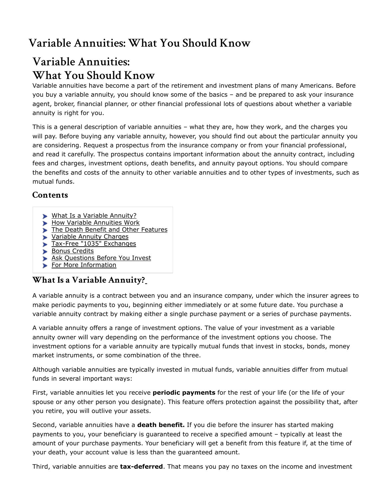# **Variable Annuities: What You Should Know**

# **Variable Annuities: What You Should Know**

Variable annuities have become a part of the retirement and investment plans of many Americans. Before you buy a variable annuity, you should know some of the basics – and be prepared to ask your insurance agent, broker, financial planner, or other financial professional lots of questions about whether a variable annuity is right for you.

This is a general description of variable annuities – what they are, how they work, and the charges you will pay. Before buying any variable annuity, however, you should find out about the particular annuity you are considering. Request a prospectus from the insurance company or from your financial professional, and read it carefully. The prospectus contains important information about the annuity contract, including fees and charges, investment options, death benefits, and annuity payout options. You should compare the benefits and costs of the annuity to other variable annuities and to other types of investments, such as mutual funds.

## **Contents**

- [What Is a Variable Annuity?](http://www.sec.gov/investor/pubs/varannty.htm#wvar)
- **[How Variable Annuities Work](http://www.sec.gov/investor/pubs/varannty.htm#hvar)**
- [The Death Benefit and Other Features](http://www.sec.gov/investor/pubs/varannty.htm#dben)
- [Variable Annuity Charges](http://www.sec.gov/investor/pubs/varannty.htm#vch) [Tax-Free "1035" Exchanges](http://www.sec.gov/investor/pubs/varannty.htm#taxf)
- **[Bonus Credits](http://www.sec.gov/investor/pubs/varannty.htm#bons)**
- **[Ask Questions Before You Invest](http://www.sec.gov/investor/pubs/varannty.htm#askq)**
- [For More Information](http://www.sec.gov/investor/pubs/varannty.htm#more)

## **What Is a Variable Annuity?**

A variable annuity is a contract between you and an insurance company, under which the insurer agrees to make periodic payments to you, beginning either immediately or at some future date. You purchase a variable annuity contract by making either a single purchase payment or a series of purchase payments.

A variable annuity offers a range of investment options. The value of your investment as a variable annuity owner will vary depending on the performance of the investment options you choose. The investment options for a variable annuity are typically mutual funds that invest in stocks, bonds, money market instruments, or some combination of the three.

Although variable annuities are typically invested in mutual funds, variable annuities differ from mutual funds in several important ways:

First, variable annuities let you receive **periodic payments** for the rest of your life (or the life of your spouse or any other person you designate). This feature offers protection against the possibility that, after you retire, you will outlive your assets.

Second, variable annuities have a **death benefit.** If you die before the insurer has started making payments to you, your beneficiary is guaranteed to receive a specified amount – typically at least the amount of your purchase payments. Your beneficiary will get a benefit from this feature if, at the time of your death, your account value is less than the guaranteed amount.

Third, variable annuities are **tax-deferred**. That means you pay no taxes on the income and investment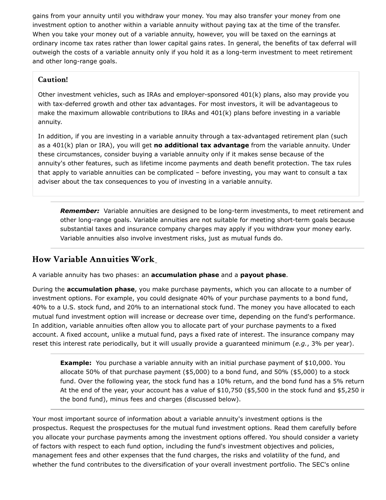gains from your annuity until you withdraw your money. You may also transfer your money from one investment option to another within a variable annuity without paying tax at the time of the transfer. When you take your money out of a variable annuity, however, you will be taxed on the earnings at ordinary income tax rates rather than lower capital gains rates. In general, the benefits of tax deferral will outweigh the costs of a variable annuity only if you hold it as a long-term investment to meet retirement and other long-range goals.

#### **Caution!**

Other investment vehicles, such as IRAs and employer-sponsored 401(k) plans, also may provide you with tax-deferred growth and other tax advantages. For most investors, it will be advantageous to make the maximum allowable contributions to IRAs and 401(k) plans before investing in a variable annuity.

In addition, if you are investing in a variable annuity through a tax-advantaged retirement plan (such as a 401(k) plan or IRA), you will get **no additional tax advantage** from the variable annuity. Under these circumstances, consider buying a variable annuity only if it makes sense because of the annuity's other features, such as lifetime income payments and death benefit protection. The tax rules that apply to variable annuities can be complicated – before investing, you may want to consult a tax adviser about the tax consequences to you of investing in a variable annuity.

*Remember:* Variable annuities are designed to be long-term investments, to meet retirement and other long-range goals. Variable annuities are not suitable for meeting short-term goals because substantial taxes and insurance company charges may apply if you withdraw your money early. Variable annuities also involve investment risks, just as mutual funds do.

## **How Variable Annuities Work**

A variable annuity has two phases: an **accumulation phase** and a **payout phase**.

During the **accumulation phase**, you make purchase payments, which you can allocate to a number of investment options. For example, you could designate 40% of your purchase payments to a bond fund, 40% to a U.S. stock fund, and 20% to an international stock fund. The money you have allocated to each mutual fund investment option will increase or decrease over time, depending on the fund's performance. In addition, variable annuities often allow you to allocate part of your purchase payments to a fixed account. A fixed account, unlike a mutual fund, pays a fixed rate of interest. The insurance company may reset this interest rate periodically, but it will usually provide a guaranteed minimum (*e.g.*, 3% per year).

**Example:** You purchase a variable annuity with an initial purchase payment of \$10,000. You allocate 50% of that purchase payment (\$5,000) to a bond fund, and 50% (\$5,000) to a stock fund. Over the following year, the stock fund has a 10% return, and the bond fund has a 5% return At the end of the year, your account has a value of \$10,750 (\$5,500 in the stock fund and \$5,250 in the bond fund), minus fees and charges (discussed below).

Your most important source of information about a variable annuity's investment options is the prospectus. Request the prospectuses for the mutual fund investment options. Read them carefully before you allocate your purchase payments among the investment options offered. You should consider a variety of factors with respect to each fund option, including the fund's investment objectives and policies, management fees and other expenses that the fund charges, the risks and volatility of the fund, and whether the fund contributes to the diversification of your overall investment portfolio. The SEC's online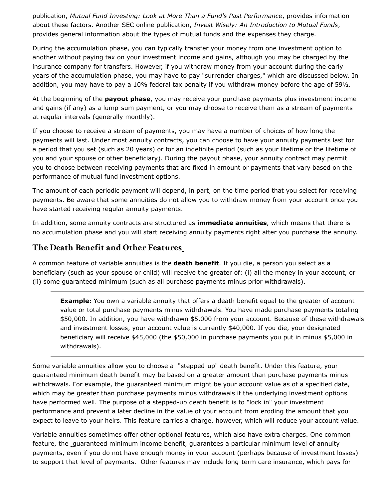publication, *[Mutual Fund Investing: Look at More Than a Fund's Past Performance](http://www.sec.gov/investor/pubs/mfperform.htm)*, provides information about these factors. Another SEC online publication, *[Invest Wisely: An Introduction to Mutual Funds](http://www.sec.gov/investor/pubs/inwsmf.htm)*, provides general information about the types of mutual funds and the expenses they charge.

During the accumulation phase, you can typically transfer your money from one investment option to another without paying tax on your investment income and gains, although you may be charged by the insurance company for transfers. However, if you withdraw money from your account during the early years of the accumulation phase, you may have to pay "surrender charges," which are discussed below. In addition, you may have to pay a 10% federal tax penalty if you withdraw money before the age of 59½.

At the beginning of the **payout phase**, you may receive your purchase payments plus investment income and gains (if any) as a lump-sum payment, or you may choose to receive them as a stream of payments at regular intervals (generally monthly).

If you choose to receive a stream of payments, you may have a number of choices of how long the payments will last. Under most annuity contracts, you can choose to have your annuity payments last for a period that you set (such as 20 years) or for an indefinite period (such as your lifetime or the lifetime of you and your spouse or other beneficiary). During the payout phase, your annuity contract may permit you to choose between receiving payments that are fixed in amount or payments that vary based on the performance of mutual fund investment options.

The amount of each periodic payment will depend, in part, on the time period that you select for receiving payments. Be aware that some annuities do not allow you to withdraw money from your account once you have started receiving regular annuity payments.

In addition, some annuity contracts are structured as **immediate annuities**, which means that there is no accumulation phase and you will start receiving annuity payments right after you purchase the annuity.

## **The Death Benefit and Other Features**

A common feature of variable annuities is the **death benefit**. If you die, a person you select as a beneficiary (such as your spouse or child) will receive the greater of: (i) all the money in your account, or (ii) some guaranteed minimum (such as all purchase payments minus prior withdrawals).

**Example:** You own a variable annuity that offers a death benefit equal to the greater of account value or total purchase payments minus withdrawals. You have made purchase payments totaling \$50,000. In addition, you have withdrawn \$5,000 from your account. Because of these withdrawals and investment losses, your account value is currently \$40,000. If you die, your designated beneficiary will receive \$45,000 (the \$50,000 in purchase payments you put in minus \$5,000 in withdrawals).

Some variable annuities allow you to choose a "stepped-up" death benefit. Under this feature, your guaranteed minimum death benefit may be based on a greater amount than purchase payments minus withdrawals. For example, the guaranteed minimum might be your account value as of a specified date, which may be greater than purchase payments minus withdrawals if the underlying investment options have performed well. The purpose of a stepped-up death benefit is to "lock in" your investment performance and prevent a later decline in the value of your account from eroding the amount that you expect to leave to your heirs. This feature carries a charge, however, which will reduce your account value.

Variable annuities sometimes offer other optional features, which also have extra charges. One common feature, the guaranteed minimum income benefit, guarantees a particular minimum level of annuity payments, even if you do not have enough money in your account (perhaps because of investment losses) to support that level of payments. Other features may include long-term care insurance, which pays for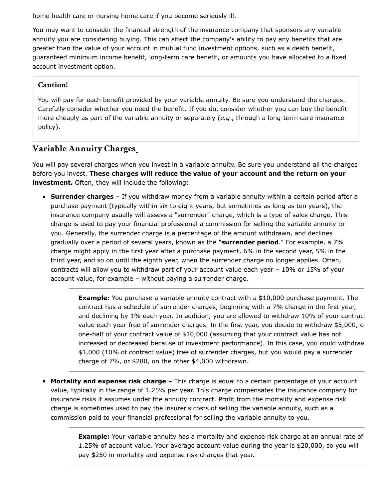home health care or nursing home care if you become seriously ill.

You may want to consider the financial strength of the insurance company that sponsors any variable annuity you are considering buying. This can affect the company's ability to pay any benefits that are greater than the value of your account in mutual fund investment options, such as a death benefit, guaranteed minimum income benefit, long-term care benefit, or amounts you have allocated to a fixed account investment option.

#### **Caution!**

You will pay for each benefit provided by your variable annuity. Be sure you understand the charges. Carefully consider whether you need the benefit. If you do, consider whether you can buy the benefit more cheaply as part of the variable annuity or separately (*e.g*., through a long-term care insurance policy).

### **Variable Annuity Charges**

You will pay several charges when you invest in a variable annuity. Be sure you understand all the charges before you invest. **These charges will reduce the value of your account and the return on your investment.** Often, they will include the following:

**Surrender charges** – If you withdraw money from a variable annuity within a certain period after a purchase payment (typically within six to eight years, but sometimes as long as ten years), the insurance company usually will assess a "surrender" charge, which is a type of sales charge. This charge is used to pay your financial professional a commission for selling the variable annuity to you. Generally, the surrender charge is a percentage of the amount withdrawn, and declines gradually over a period of several years, known as the "**surrender period**." For example, a 7% charge might apply in the first year after a purchase payment, 6% in the second year, 5% in the third year, and so on until the eighth year, when the surrender charge no longer applies. Often, contracts will allow you to withdraw part of your account value each year – 10% or 15% of your account value, for example – without paying a surrender charge.

> **Example:** You purchase a variable annuity contract with a \$10,000 purchase payment. The contract has a schedule of surrender charges, beginning with a 7% charge in the first year, and declining by 1% each year. In addition, you are allowed to withdraw 10% of your contract value each year free of surrender charges. In the first year, you decide to withdraw \$5,000, or one-half of your contract value of \$10,000 (assuming that your contract value has not increased or decreased because of investment performance). In this case, you could withdraw \$1,000 (10% of contract value) free of surrender charges, but you would pay a surrender charge of 7%, or \$280, on the other \$4,000 withdrawn.

**Mortality and expense risk charge** – This charge is equal to a certain percentage of your account value, typically in the range of 1.25% per year. This charge compensates the insurance company for insurance risks it assumes under the annuity contract. Profit from the mortality and expense risk charge is sometimes used to pay the insurer's costs of selling the variable annuity, such as a commission paid to your financial professional for selling the variable annuity to you.

> **Example:** Your variable annuity has a mortality and expense risk charge at an annual rate of 1.25% of account value. Your average account value during the year is \$20,000, so you will pay \$250 in mortality and expense risk charges that year.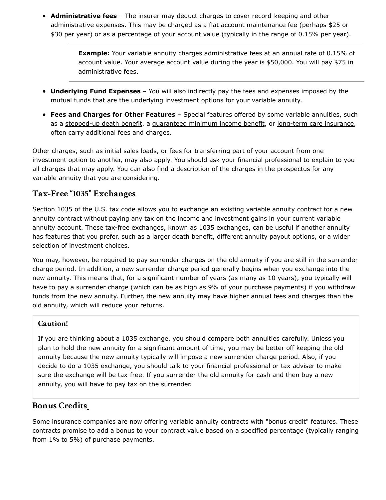**Administrative fees** – The insurer may deduct charges to cover record-keeping and other administrative expenses. This may be charged as a flat account maintenance fee (perhaps \$25 or \$30 per year) or as a percentage of your account value (typically in the range of 0.15% per year).

> **Example:** Your variable annuity charges administrative fees at an annual rate of 0.15% of account value. Your average account value during the year is \$50,000. You will pay \$75 in administrative fees.

- **Underlying Fund Expenses** You will also indirectly pay the fees and expenses imposed by the mutual funds that are the underlying investment options for your variable annuity.
- **Fees and Charges for Other Features** Special features offered by some variable annuities, such as a [stepped-up death benefit,](http://www.sec.gov/investor/pubs/varannty.htm#step) a [guaranteed minimum income benefit,](http://www.sec.gov/investor/pubs/varannty.htm#gmin) or [long-term care insurance,](http://www.sec.gov/investor/pubs/varannty.htm#long) often carry additional fees and charges.

Other charges, such as initial sales loads, or fees for transferring part of your account from one investment option to another, may also apply. You should ask your financial professional to explain to you all charges that may apply. You can also find a description of the charges in the prospectus for any variable annuity that you are considering.

## **Tax-Free "1035" Exchanges**

Section 1035 of the U.S. tax code allows you to exchange an existing variable annuity contract for a new annuity contract without paying any tax on the income and investment gains in your current variable annuity account. These tax-free exchanges, known as 1035 exchanges, can be useful if another annuity has features that you prefer, such as a larger death benefit, different annuity payout options, or a wider selection of investment choices.

You may, however, be required to pay surrender charges on the old annuity if you are still in the surrender charge period. In addition, a new surrender charge period generally begins when you exchange into the new annuity. This means that, for a significant number of years (as many as 10 years), you typically will have to pay a surrender charge (which can be as high as 9% of your purchase payments) if you withdraw funds from the new annuity. Further, the new annuity may have higher annual fees and charges than the old annuity, which will reduce your returns.

#### **Caution!**

If you are thinking about a 1035 exchange, you should compare both annuities carefully. Unless you plan to hold the new annuity for a significant amount of time, you may be better off keeping the old annuity because the new annuity typically will impose a new surrender charge period. Also, if you decide to do a 1035 exchange, you should talk to your financial professional or tax adviser to make sure the exchange will be tax-free. If you surrender the old annuity for cash and then buy a new annuity, you will have to pay tax on the surrender.

## **Bonus Credits**

Some insurance companies are now offering variable annuity contracts with "bonus credit" features. These contracts promise to add a bonus to your contract value based on a specified percentage (typically ranging from 1% to 5%) of purchase payments.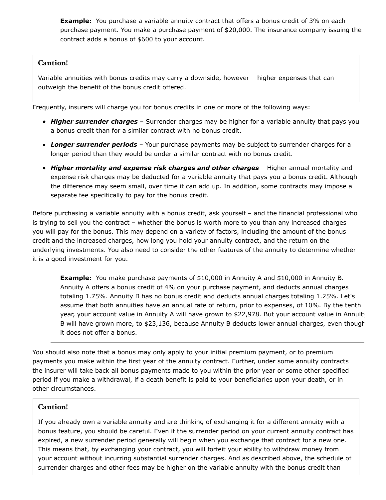**Example:** You purchase a variable annuity contract that offers a bonus credit of 3% on each purchase payment. You make a purchase payment of \$20,000. The insurance company issuing the contract adds a bonus of \$600 to your account.

#### **Caution!**

Variable annuities with bonus credits may carry a downside, however – higher expenses that can outweigh the benefit of the bonus credit offered.

Frequently, insurers will charge you for bonus credits in one or more of the following ways:

- *Higher surrender charges*  Surrender charges may be higher for a variable annuity that pays you a bonus credit than for a similar contract with no bonus credit.
- *Longer surrender periods* Your purchase payments may be subject to surrender charges for a longer period than they would be under a similar contract with no bonus credit.
- *Higher mortality and expense risk charges and other charges* Higher annual mortality and expense risk charges may be deducted for a variable annuity that pays you a bonus credit. Although the difference may seem small, over time it can add up. In addition, some contracts may impose a separate fee specifically to pay for the bonus credit.

Before purchasing a variable annuity with a bonus credit, ask yourself – and the financial professional who is trying to sell you the contract – whether the bonus is worth more to you than any increased charges you will pay for the bonus. This may depend on a variety of factors, including the amount of the bonus credit and the increased charges, how long you hold your annuity contract, and the return on the underlying investments. You also need to consider the other features of the annuity to determine whether it is a good investment for you.

**Example:** You make purchase payments of \$10,000 in Annuity A and \$10,000 in Annuity B. Annuity A offers a bonus credit of 4% on your purchase payment, and deducts annual charges totaling 1.75%. Annuity B has no bonus credit and deducts annual charges totaling 1.25%. Let's assume that both annuities have an annual rate of return, prior to expenses, of 10%. By the tenth year, your account value in Annuity A will have grown to \$22,978. But your account value in Annuity B will have grown more, to \$23,136, because Annuity B deducts lower annual charges, even though it does not offer a bonus.

You should also note that a bonus may only apply to your initial premium payment, or to premium payments you make within the first year of the annuity contract. Further, under some annuity contracts the insurer will take back all bonus payments made to you within the prior year or some other specified period if you make a withdrawal, if a death benefit is paid to your beneficiaries upon your death, or in other circumstances.

#### **Caution!**

If you already own a variable annuity and are thinking of exchanging it for a different annuity with a bonus feature, you should be careful. Even if the surrender period on your current annuity contract has expired, a new surrender period generally will begin when you exchange that contract for a new one. This means that, by exchanging your contract, you will forfeit your ability to withdraw money from your account without incurring substantial surrender charges. And as described above, the schedule of surrender charges and other fees may be higher on the variable annuity with the bonus credit than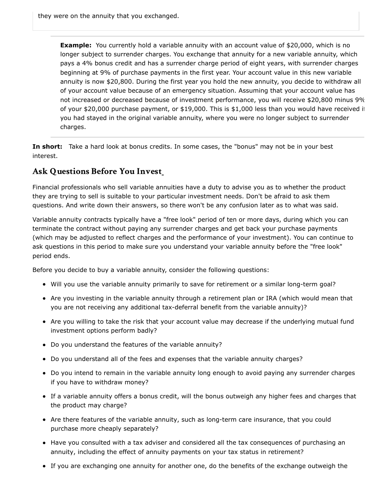**Example:** You currently hold a variable annuity with an account value of \$20,000, which is no longer subject to surrender charges. You exchange that annuity for a new variable annuity, which pays a 4% bonus credit and has a surrender charge period of eight years, with surrender charges beginning at 9% of purchase payments in the first year. Your account value in this new variable annuity is now \$20,800. During the first year you hold the new annuity, you decide to withdraw all of your account value because of an emergency situation. Assuming that your account value has not increased or decreased because of investment performance, you will receive \$20,800 minus 9% of your \$20,000 purchase payment, or \$19,000. This is \$1,000 less than you would have received if you had stayed in the original variable annuity, where you were no longer subject to surrender charges.

**In short:** Take a hard look at bonus credits. In some cases, the "bonus" may not be in your best interest.

### **Ask Questions Before You Invest**

Financial professionals who sell variable annuities have a duty to advise you as to whether the product they are trying to sell is suitable to your particular investment needs. Don't be afraid to ask them questions. And write down their answers, so there won't be any confusion later as to what was said.

Variable annuity contracts typically have a "free look" period of ten or more days, during which you can terminate the contract without paying any surrender charges and get back your purchase payments (which may be adjusted to reflect charges and the performance of your investment). You can continue to ask questions in this period to make sure you understand your variable annuity before the "free look" period ends.

Before you decide to buy a variable annuity, consider the following questions:

- Will you use the variable annuity primarily to save for retirement or a similar long-term goal?
- Are you investing in the variable annuity through a retirement plan or IRA (which would mean that you are not receiving any additional tax-deferral benefit from the variable annuity)?
- Are you willing to take the risk that your account value may decrease if the underlying mutual fund investment options perform badly?
- Do you understand the features of the variable annuity?
- Do you understand all of the fees and expenses that the variable annuity charges?
- Do you intend to remain in the variable annuity long enough to avoid paying any surrender charges if you have to withdraw money?
- If a variable annuity offers a bonus credit, will the bonus outweigh any higher fees and charges that the product may charge?
- Are there features of the variable annuity, such as long-term care insurance, that you could purchase more cheaply separately?
- Have you consulted with a tax adviser and considered all the tax consequences of purchasing an annuity, including the effect of annuity payments on your tax status in retirement?
- If you are exchanging one annuity for another one, do the benefits of the exchange outweigh the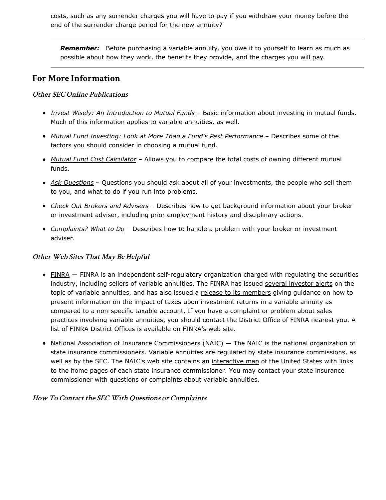costs, such as any surrender charges you will have to pay if you withdraw your money before the end of the surrender charge period for the new annuity?

*Remember:* Before purchasing a variable annuity, you owe it to yourself to learn as much as possible about how they work, the benefits they provide, and the charges you will pay.

## **For More Information**

#### **Other SEC Online Publications**

- *[Invest Wisely: An Introduction to Mutual Funds](http://www.sec.gov/investor/pubs/inwsmf.htm)* Basic information about investing in mutual funds. Much of this information applies to variable annuities, as well.
- *[Mutual Fund Investing: Look at More Than a Fund's Past Performance](http://www.sec.gov/investor/pubs/mfperform.htm)* Describes some of the factors you should consider in choosing a mutual fund.
- *[Mutual Fund Cost Calculator](http://www.sec.gov/investor/tools/mfcc/mfcc-int.htm)* Allows you to compare the total costs of owning different mutual funds.
- *[Ask Questions](http://www.sec.gov/investor/pubs/askquestions.htm)* Questions you should ask about all of your investments, the people who sell them to you, and what to do if you run into problems.
- *[Check Out Brokers and Advisers](http://www.sec.gov/investor/brokers.htm)* Describes how to get background information about your broker or investment adviser, including prior employment history and disciplinary actions.
- *[Complaints? What to Do](http://www.sec.gov/complaint.shtml)* Describes how to handle a problem with your broker or investment adviser.

#### **Other Web Sites That May Be Helpful**

- $\bullet$  [FINRA](http://www.sec.gov/cgi-bin/goodbye.cgi?www.finra.org)  $-$  FINRA is an independent self-regulatory organization charged with regulating the securities industry, including sellers of variable annuities. The FINRA has issued [several investor alerts](http://www.sec.gov/cgi-bin/goodbye.cgi?www.finra.org/Investors/ProtectYourself/InvestorAlerts/) on the topic of variable annuities, and has also issued a [release to its members](http://www.sec.gov/cgi-bin/goodbye.cgi?www.nasd.com/RulesRegulation/MemberAlerts/2004MemberAlerts/NASDW_002746) giving guidance on how to present information on the impact of taxes upon investment returns in a variable annuity as compared to a non-specific taxable account. If you have a complaint or problem about sales practices involving variable annuities, you should contact the District Office of FINRA nearest you. A list of FINRA District Offices is available on [FINRA's web site.](http://www.sec.gov/cgi-bin/goodbye.cgi?www.finra.org/Industry/Contacts/p085520)
- [National Association of Insurance Commissioners \(NAIC\)](http://www.sec.gov/cgi-bin/goodbye.cgi?www.naic.org)  The NAIC is the national organization of state insurance commissioners. Variable annuities are regulated by state insurance commissions, as well as by the SEC. The NAIC's web site contains an [interactive map](http://www.sec.gov/cgi-bin/goodbye.cgi?www.naic.org/state_web_map.htm) of the United States with links to the home pages of each state insurance commissioner. You may contact your state insurance commissioner with questions or complaints about variable annuities.

#### **How To Contact the SEC With Questions or Complaints**